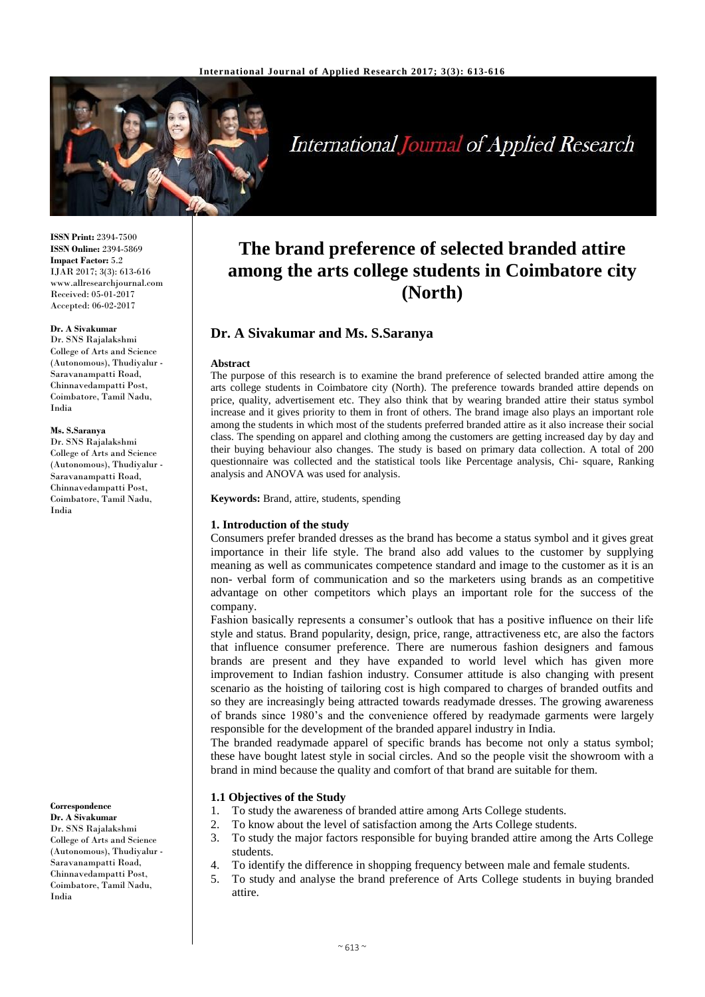

**International Journal of Applied Research** 

**ISSN Print:** 2394-7500 **ISSN Online:** 2394-5869 **Impact Factor:** 5.2 IJAR 2017; 3(3): 613-616 www.allresearchjournal.com Received: 05-01-2017 Accepted: 06-02-2017

## **Dr. A Sivakumar**

Dr. SNS Rajalakshmi College of Arts and Science (Autonomous), Thudiyalur - Saravanampatti Road, Chinnavedampatti Post, Coimbatore, Tamil Nadu, India

#### **Ms. S.Saranya**

Dr. SNS Rajalakshmi College of Arts and Science (Autonomous), Thudiyalur - Saravanampatti Road, Chinnavedampatti Post, Coimbatore, Tamil Nadu, India

**Correspondence Dr. A Sivakumar**

Dr. SNS Rajalakshmi College of Arts and Science (Autonomous), Thudiyalur - Saravanampatti Road, Chinnavedampatti Post, Coimbatore, Tamil Nadu, India

## **The brand preference of selected branded attire among the arts college students in Coimbatore city (North)**

## **Dr. A Sivakumar and Ms. S.Saranya**

#### **Abstract**

The purpose of this research is to examine the brand preference of selected branded attire among the arts college students in Coimbatore city (North). The preference towards branded attire depends on price, quality, advertisement etc. They also think that by wearing branded attire their status symbol increase and it gives priority to them in front of others. The brand image also plays an important role among the students in which most of the students preferred branded attire as it also increase their social class. The spending on apparel and clothing among the customers are getting increased day by day and their buying behaviour also changes. The study is based on primary data collection. A total of 200 questionnaire was collected and the statistical tools like Percentage analysis, Chi- square, Ranking analysis and ANOVA was used for analysis.

**Keywords:** Brand, attire, students, spending

## **1. Introduction of the study**

Consumers prefer branded dresses as the brand has become a status symbol and it gives great importance in their life style. The brand also add values to the customer by supplying meaning as well as communicates competence standard and image to the customer as it is an non- verbal form of communication and so the marketers using brands as an competitive advantage on other competitors which plays an important role for the success of the company.

Fashion basically represents a consumer's outlook that has a positive influence on their life style and status. Brand popularity, design, price, range, attractiveness etc, are also the factors that influence consumer preference. There are numerous fashion designers and famous brands are present and they have expanded to world level which has given more improvement to Indian fashion industry. Consumer attitude is also changing with present scenario as the hoisting of tailoring cost is high compared to charges of branded outfits and so they are increasingly being attracted towards readymade dresses. The growing awareness of brands since 1980's and the convenience offered by readymade garments were largely responsible for the development of the branded apparel industry in India.

The branded readymade apparel of specific brands has become not only a status symbol; these have bought latest style in social circles. And so the people visit the showroom with a brand in mind because the quality and comfort of that brand are suitable for them.

## **1.1 Objectives of the Study**

- 1. To study the awareness of branded attire among Arts College students.
- 2. To know about the level of satisfaction among the Arts College students.
- 3. To study the major factors responsible for buying branded attire among the Arts College students.
- 4. To identify the difference in shopping frequency between male and female students.
- 5. To study and analyse the brand preference of Arts College students in buying branded attire.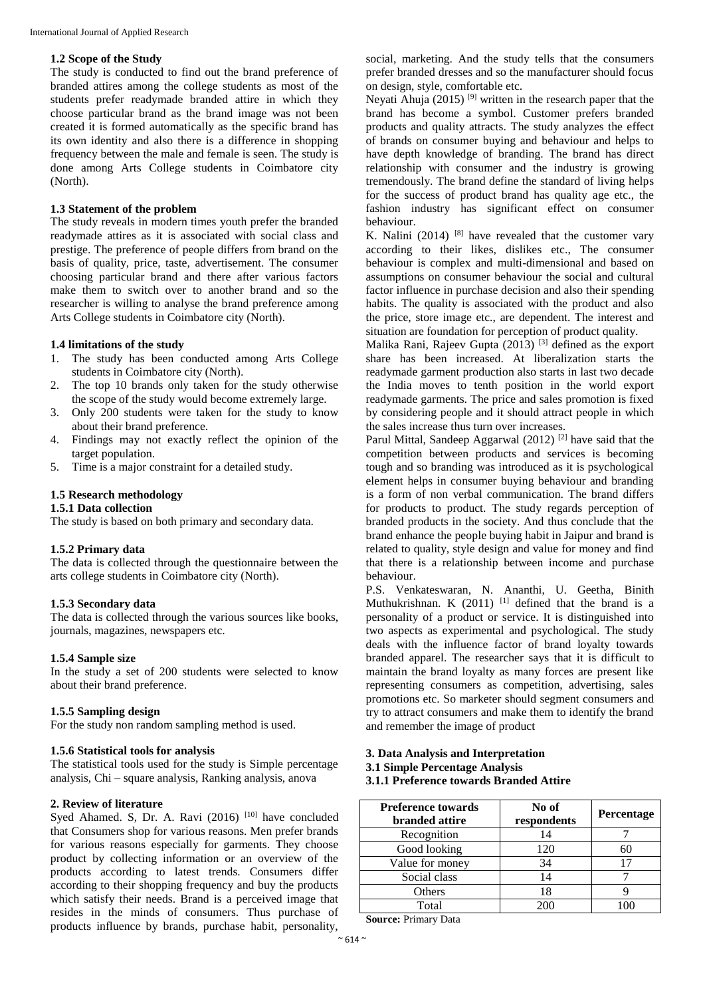## **1.2 Scope of the Study**

The study is conducted to find out the brand preference of branded attires among the college students as most of the students prefer readymade branded attire in which they choose particular brand as the brand image was not been created it is formed automatically as the specific brand has its own identity and also there is a difference in shopping frequency between the male and female is seen. The study is done among Arts College students in Coimbatore city (North).

## **1.3 Statement of the problem**

The study reveals in modern times youth prefer the branded readymade attires as it is associated with social class and prestige. The preference of people differs from brand on the basis of quality, price, taste, advertisement. The consumer choosing particular brand and there after various factors make them to switch over to another brand and so the researcher is willing to analyse the brand preference among Arts College students in Coimbatore city (North).

## **1.4 limitations of the study**

- 1. The study has been conducted among Arts College students in Coimbatore city (North).
- 2. The top 10 brands only taken for the study otherwise the scope of the study would become extremely large.
- 3. Only 200 students were taken for the study to know about their brand preference.
- 4. Findings may not exactly reflect the opinion of the target population.
- 5. Time is a major constraint for a detailed study.

## **1.5 Research methodology**

## **1.5.1 Data collection**

The study is based on both primary and secondary data.

## **1.5.2 Primary data**

The data is collected through the questionnaire between the arts college students in Coimbatore city (North).

## **1.5.3 Secondary data**

The data is collected through the various sources like books, journals, magazines, newspapers etc.

## **1.5.4 Sample size**

In the study a set of 200 students were selected to know about their brand preference.

## **1.5.5 Sampling design**

For the study non random sampling method is used.

## **1.5.6 Statistical tools for analysis**

The statistical tools used for the study is Simple percentage analysis, Chi – square analysis, Ranking analysis, anova

## **2. Review of literature**

Syed Ahamed. S, Dr. A. Ravi  $(2016)$ <sup>[10]</sup> have concluded that Consumers shop for various reasons. Men prefer brands for various reasons especially for garments. They choose product by collecting information or an overview of the products according to latest trends. Consumers differ according to their shopping frequency and buy the products which satisfy their needs. Brand is a perceived image that resides in the minds of consumers. Thus purchase of products influence by brands, purchase habit, personality,

social, marketing. And the study tells that the consumers prefer branded dresses and so the manufacturer should focus on design, style, comfortable etc.

Neyati Ahuja (2015)  $[9]$  written in the research paper that the brand has become a symbol. Customer prefers branded products and quality attracts. The study analyzes the effect of brands on consumer buying and behaviour and helps to have depth knowledge of branding. The brand has direct relationship with consumer and the industry is growing tremendously. The brand define the standard of living helps for the success of product brand has quality age etc., the fashion industry has significant effect on consumer behaviour.

K. Nalini (2014)  $[8]$  have revealed that the customer vary according to their likes, dislikes etc., The consumer behaviour is complex and multi-dimensional and based on assumptions on consumer behaviour the social and cultural factor influence in purchase decision and also their spending habits. The quality is associated with the product and also the price, store image etc., are dependent. The interest and situation are foundation for perception of product quality.

Malika Rani, Rajeev Gupta  $(2013)$ <sup>[3]</sup> defined as the export share has been increased. At liberalization starts the readymade garment production also starts in last two decade the India moves to tenth position in the world export readymade garments. The price and sales promotion is fixed by considering people and it should attract people in which the sales increase thus turn over increases.

Parul Mittal, Sandeep Aggarwal (2012)<sup>[2]</sup> have said that the competition between products and services is becoming tough and so branding was introduced as it is psychological element helps in consumer buying behaviour and branding is a form of non verbal communication. The brand differs for products to product. The study regards perception of branded products in the society. And thus conclude that the brand enhance the people buying habit in Jaipur and brand is related to quality, style design and value for money and find that there is a relationship between income and purchase behaviour.

P.S. Venkateswaran, N. Ananthi, U. Geetha, Binith Muthukrishnan. K  $(2011)$ <sup>[1]</sup> defined that the brand is a personality of a product or service. It is distinguished into two aspects as experimental and psychological. The study deals with the influence factor of brand loyalty towards branded apparel. The researcher says that it is difficult to maintain the brand loyalty as many forces are present like representing consumers as competition, advertising, sales promotions etc. So marketer should segment consumers and try to attract consumers and make them to identify the brand and remember the image of product

## **3. Data Analysis and Interpretation 3.1 Simple Percentage Analysis 3.1.1 Preference towards Branded Attire**

| <b>Preference towards</b><br><b>branded attire</b> | No of<br>respondents | Percentage |
|----------------------------------------------------|----------------------|------------|
| Recognition                                        | 14                   |            |
| Good looking                                       | 120                  | 60         |
| Value for money                                    | 34                   | 17         |
| Social class                                       | 14                   |            |
| Others                                             | 18                   |            |
| Total                                              | 200                  |            |

**Source:** Primary Data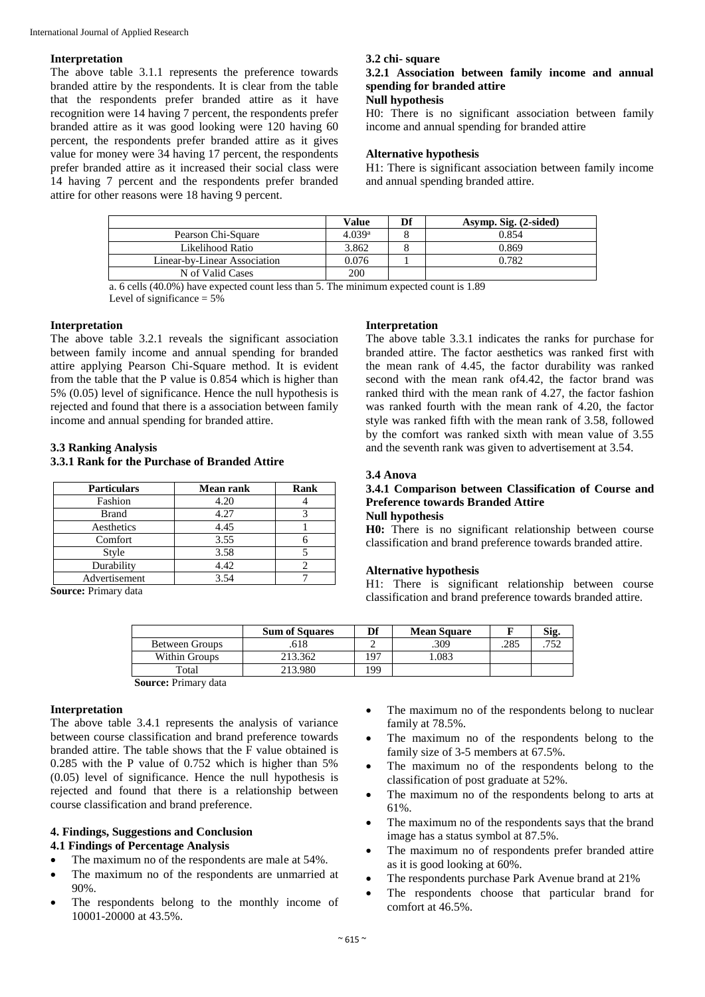## **Interpretation**

The above table 3.1.1 represents the preference towards branded attire by the respondents. It is clear from the table that the respondents prefer branded attire as it have recognition were 14 having 7 percent, the respondents prefer branded attire as it was good looking were 120 having 60 percent, the respondents prefer branded attire as it gives value for money were 34 having 17 percent, the respondents prefer branded attire as it increased their social class were 14 having 7 percent and the respondents prefer branded attire for other reasons were 18 having 9 percent.

## **3.2 chi- square**

## **3.2.1 Association between family income and annual spending for branded attire**

#### **Null hypothesis**

H0: There is no significant association between family income and annual spending for branded attire

## **Alternative hypothesis**

H1: There is significant association between family income and annual spending branded attire.

|                              | Value              | Df | Asymp. Sig. (2-sided) |
|------------------------------|--------------------|----|-----------------------|
| Pearson Chi-Square           | 4.039 <sup>a</sup> |    | 0.854                 |
| Likelihood Ratio             | 3.862              |    | 0.869                 |
| Linear-by-Linear Association | 0.076              |    | 0.782                 |
| N of Valid Cases             | 200                |    |                       |

a. 6 cells (40.0%) have expected count less than 5. The minimum expected count is 1.89

Level of significance  $= 5\%$ 

## **Interpretation**

The above table 3.2.1 reveals the significant association between family income and annual spending for branded attire applying Pearson Chi-Square method. It is evident from the table that the P value is 0.854 which is higher than 5% (0.05) level of significance. Hence the null hypothesis is rejected and found that there is a association between family income and annual spending for branded attire.

## **3.3 Ranking Analysis**

## **3.3.1 Rank for the Purchase of Branded Attire**

| <b>Particulars</b> | <b>Mean rank</b> | Rank |  |
|--------------------|------------------|------|--|
| Fashion            | 4.20             |      |  |
| <b>Brand</b>       | 4.27             |      |  |
| Aesthetics         | 4.45             |      |  |
| Comfort            | 3.55             |      |  |
| Style              | 3.58             |      |  |
| Durability         | 4.42             |      |  |
| Advertisement      | 3.54             |      |  |

**Source:** Primary data

|                         | <b>Sum of Squares</b> |      | <b>Mean Square</b> |      | Sig. |
|-------------------------|-----------------------|------|--------------------|------|------|
| Between Groups          | 618                   |      | .309               | .285 | ワミク  |
| Within Groups           | 213.362               | . 07 | .083               |      |      |
| Total                   | 213.980               | 99   |                    |      |      |
| $\sim$<br>$\sim$ $\sim$ |                       |      |                    |      |      |

**Source:** Primary data

## **Interpretation**

The above table 3.4.1 represents the analysis of variance between course classification and brand preference towards branded attire. The table shows that the F value obtained is 0.285 with the P value of 0.752 which is higher than 5% (0.05) level of significance. Hence the null hypothesis is rejected and found that there is a relationship between course classification and brand preference.

## **4. Findings, Suggestions and Conclusion 4.1 Findings of Percentage Analysis**

- The maximum no of the respondents are male at 54%.
- The maximum no of the respondents are unmarried at 90%.
- The respondents belong to the monthly income of 10001-20000 at 43.5%.

# The maximum no of the respondents belong to nuclear

- family at 78.5%. The maximum no of the respondents belong to the
- family size of 3-5 members at 67.5%.
- The maximum no of the respondents belong to the classification of post graduate at 52%.
- The maximum no of the respondents belong to arts at 61%.
- The maximum no of the respondents says that the brand image has a status symbol at 87.5%.
- The maximum no of respondents prefer branded attire as it is good looking at 60%.
- The respondents purchase Park Avenue brand at 21%
- The respondents choose that particular brand for comfort at 46.5%.

## **Interpretation**

The above table 3.3.1 indicates the ranks for purchase for branded attire. The factor aesthetics was ranked first with the mean rank of 4.45, the factor durability was ranked second with the mean rank of4.42, the factor brand was ranked third with the mean rank of 4.27, the factor fashion was ranked fourth with the mean rank of 4.20, the factor style was ranked fifth with the mean rank of 3.58, followed by the comfort was ranked sixth with mean value of 3.55 and the seventh rank was given to advertisement at 3.54.

#### **3.4 Anova**

## **3.4.1 Comparison between Classification of Course and Preference towards Branded Attire**

**Null hypothesis**

**H0:** There is no significant relationship between course classification and brand preference towards branded attire.

## **Alternative hypothesis**

H1: There is significant relationship between course classification and brand preference towards branded attire.